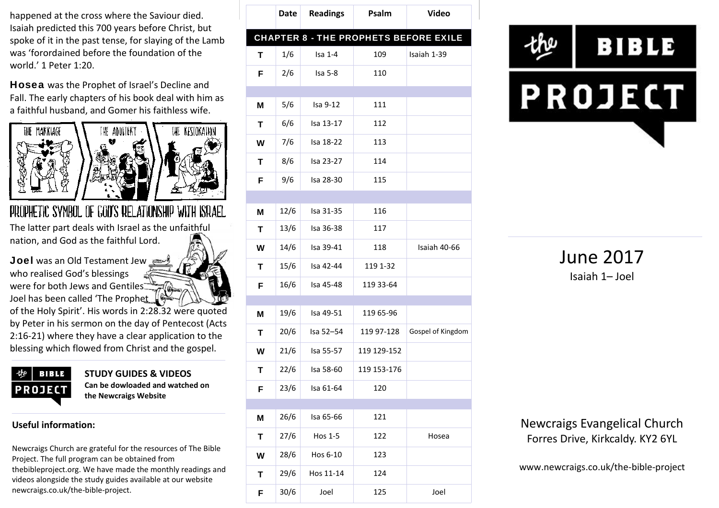happened at the cross where the Saviour died. Isaiah predicted this 700 years before Christ, but spoke of it in the past tense, for slaying of the Lamb was 'forordained before the foundation of the world.' 1 Peter 1:20.

**Hosea** was the Prophet of Israel's Decline and Fall. The early chapters of his book deal with him as a faithful husband, and Gomer his faithless wife.



# PROPHETIC SYMBOL OF GOD'S RELATIONSHIP WITH ISRAEL

The latter part deals with Israel as the unfaithful nation, and God as the faithful Lord.

**Joel** was an Old Testament Jew who realised God's blessings were for both Jews and Gentiles Joel has been called 'The Prophet

of the Holy Spirit'. His words in 2:28.32 were quoted by Peter in his sermon on the day of Pentecost (Acts 2:16-21) where they have a clear application to the blessing which flowed from Christ and the gospel.

|             | BIBLE |  |  |  |
|-------------|-------|--|--|--|
| PROJEC<br>п |       |  |  |  |
|             |       |  |  |  |

**STUDY GUIDES & VIDEOS Can be dowloaded and watched on the Newcraigs Website**

#### **Useful information:**

Newcraigs Church are grateful for the resources of The Bible Project. The full program can be obtained from thebibleproject.org. We have made the monthly readings and videos alongside the study guides available at our website newcraigs.co.uk/the-bible-project.

|   | Date | <b>Readings</b> | Psalm       | <b>Video</b>                                 |
|---|------|-----------------|-------------|----------------------------------------------|
|   |      |                 |             | <b>CHAPTER 8 - THE PROPHETS BEFORE EXILE</b> |
| т | 1/6  | $Isa 1-4$       | 109         | Isaiah 1-39                                  |
| F | 2/6  | Isa 5-8         | 110         |                                              |
|   |      |                 |             |                                              |
| M | 5/6  | Isa 9-12        | 111         |                                              |
| Т | 6/6  | Isa 13-17       | 112         |                                              |
| W | 7/6  | Isa 18-22       | 113         |                                              |
| T | 8/6  | Isa 23-27       | 114         |                                              |
| F | 9/6  | Isa 28-30       | 115         |                                              |
|   |      |                 |             |                                              |
| M | 12/6 | Isa 31-35       | 116         |                                              |
| т | 13/6 | Isa 36-38       | 117         |                                              |
| W | 14/6 | Isa 39-41       | 118         | Isaiah 40-66                                 |
| Т | 15/6 | Isa 42-44       | 119 1-32    |                                              |
| F | 16/6 | Isa 45-48       | 119 33-64   |                                              |
|   |      |                 |             |                                              |
| M | 19/6 | Isa 49-51       | 119 65-96   |                                              |
| Т | 20/6 | Isa 52-54       | 119 97-128  | Gospel of Kingdom                            |
| W | 21/6 | Isa 55-57       | 119 129-152 |                                              |
| Т | 22/6 | Isa 58-60       | 119 153-176 |                                              |
| F | 23/6 | Isa 61-64       | 120         |                                              |
|   |      |                 |             |                                              |
| M | 26/6 | Isa 65-66       | 121         |                                              |
| T | 27/6 | Hos 1-5         | 122         | Hosea                                        |
| W | 28/6 | Hos 6-10        | 123         |                                              |
| T | 29/6 | Hos 11-14       | 124         |                                              |
| F | 30/6 | Joel            | 125         | Joel                                         |



June 2017 Isaiah 1– Joel

Newcraigs Evangelical Church Forres Drive, Kirkcaldy. KY2 6YL

www.newcraigs.co.uk/the-bible-project